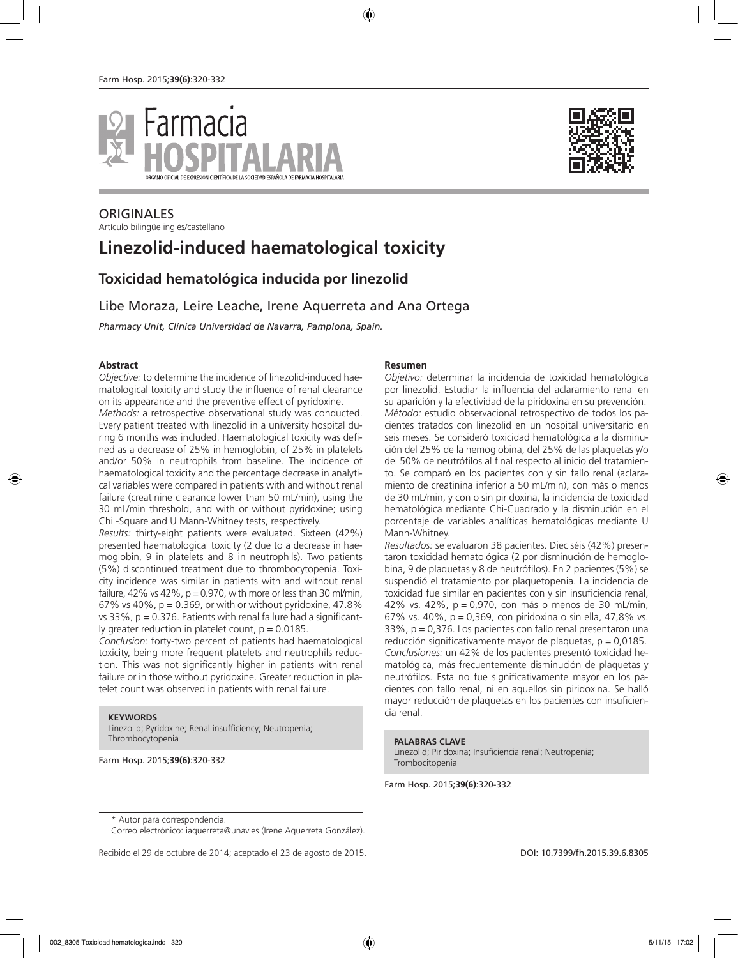



# **ORIGINALES**

Artículo bilingüe inglés/castellano

# **Linezolid-induced haematological toxicity**

# **Toxicidad hematológica inducida por linezolid**

## Libe Moraza, Leire Leache, Irene Aquerreta and Ana Ortega

*Pharmacy Unit, Clínica Universidad de Navarra, Pamplona, Spain.*

#### **Abstract**

*Objective:* to determine the incidence of linezolid-induced haematological toxicity and study the influence of renal clearance on its appearance and the preventive effect of pyridoxine.

*Methods:* a retrospective observational study was conducted. Every patient treated with linezolid in a university hospital during 6 months was included. Haematological toxicity was defined as a decrease of 25% in hemoglobin, of 25% in platelets and/or 50% in neutrophils from baseline. The incidence of haematological toxicity and the percentage decrease in analytical variables were compared in patients with and without renal failure (creatinine clearance lower than 50 mL/min), using the 30 mL/min threshold, and with or without pyridoxine; using Chi -Square and U Mann-Whitney tests, respectively.

*Results:* thirty-eight patients were evaluated. Sixteen (42%) presented haematological toxicity (2 due to a decrease in haemoglobin, 9 in platelets and 8 in neutrophils). Two patients (5%) discontinued treatment due to thrombocytopenia. Toxicity incidence was similar in patients with and without renal failure, 42% vs 42%,  $p = 0.970$ , with more or less than 30 ml/min, 67% vs 40%,  $p = 0.369$ , or with or without pyridoxine, 47.8% vs  $33\%$ ,  $p = 0.376$ . Patients with renal failure had a significantly greater reduction in platelet count,  $p = 0.0185$ .

*Conclusion:* forty-two percent of patients had haematological toxicity, being more frequent platelets and neutrophils reduction. This was not significantly higher in patients with renal failure or in those without pyridoxine. Greater reduction in platelet count was observed in patients with renal failure.

#### **KEYWORDS**

Linezolid; Pyridoxine; Renal insufficiency; Neutropenia; Thrombocytopenia

Farm Hosp. 2015;**39(6)**:320-332

#### **Resumen**

*Objetivo:* determinar la incidencia de toxicidad hematológica por linezolid. Estudiar la influencia del aclaramiento renal en su aparición y la efectividad de la piridoxina en su prevención. *Método:* estudio observacional retrospectivo de todos los pacientes tratados con linezolid en un hospital universitario en seis meses. Se consideró toxicidad hematológica a la disminución del 25% de la hemoglobina, del 25% de las plaquetas y/o del 50% de neutrófilos al final respecto al inicio del tratamiento. Se comparó en los pacientes con y sin fallo renal (aclaramiento de creatinina inferior a 50 mL/min), con más o menos de 30 mL/min, y con o sin piridoxina, la incidencia de toxicidad hematológica mediante Chi-Cuadrado y la disminución en el porcentaje de variables analíticas hematológicas mediante U Mann-Whitney.

*Resultados:* se evaluaron 38 pacientes. Dieciséis (42%) presentaron toxicidad hematológica (2 por disminución de hemoglobina, 9 de plaquetas y 8 de neutrófilos). En 2 pacientes (5%) se suspendió el tratamiento por plaquetopenia. La incidencia de toxicidad fue similar en pacientes con y sin insuficiencia renal, 42% vs. 42%, p = 0,970, con más o menos de 30 mL/min, 67% vs. 40%, p = 0,369, con piridoxina o sin ella, 47,8% vs.  $33\%$ ,  $p = 0.376$ . Los pacientes con fallo renal presentaron una reducción significativamente mayor de plaquetas,  $p = 0.0185$ . *Conclusiones:* un 42% de los pacientes presentó toxicidad hematológica, más frecuentemente disminución de plaquetas y neutrófilos. Esta no fue significativamente mayor en los pacientes con fallo renal, ni en aquellos sin piridoxina. Se halló mayor reducción de plaquetas en los pacientes con insuficiencia renal.

#### **PALABRAS CLAVE**

Linezolid; Piridoxina; Insuficiencia renal; Neutropenia; Trombocitopenia

Farm Hosp. 2015;**39(6)**:320-332

Recibido el 29 de octubre de 2014; aceptado el 23 de agosto de 2015. DOI: DOI: 10.7399/fh.2015.39.6.8305

<sup>\*</sup> Autor para correspondencia.

Correo electrónico: iaquerreta@unav.es (Irene Aquerreta González).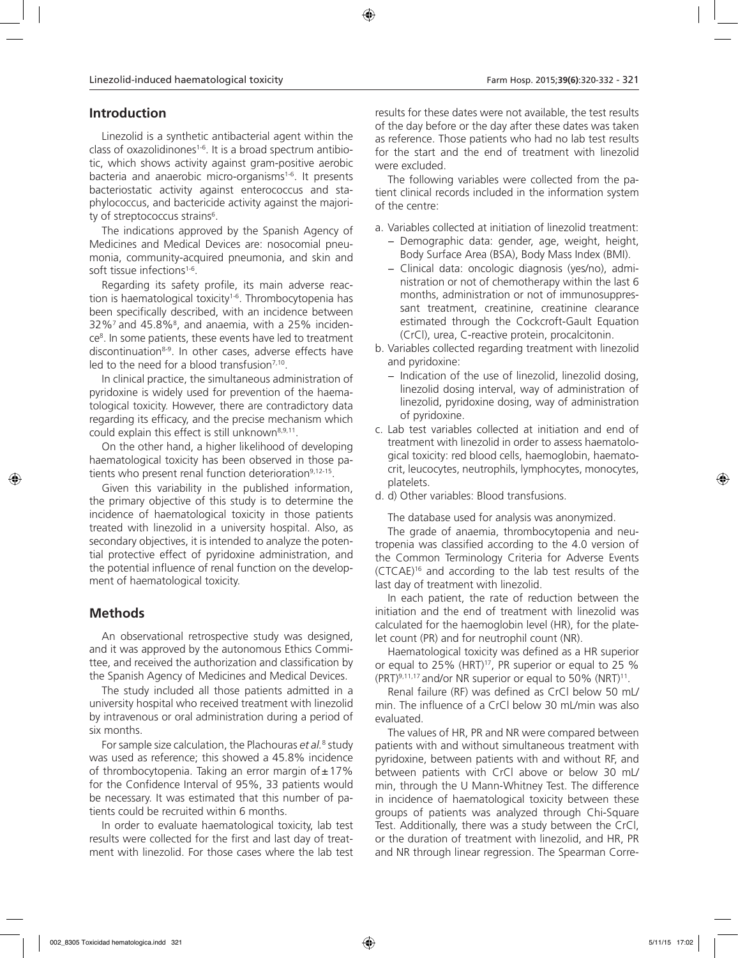# **Introduction**

Linezolid is a synthetic antibacterial agent within the class of oxazolidinones<sup>1-6</sup>. It is a broad spectrum antibiotic, which shows activity against gram-positive aerobic bacteria and anaerobic micro-organisms<sup>1-6</sup>. It presents bacteriostatic activity against enterococcus and staphylococcus, and bactericide activity against the majority of streptococcus strains<sup>6</sup>.

The indications approved by the Spanish Agency of Medicines and Medical Devices are: nosocomial pneumonia, community-acquired pneumonia, and skin and soft tissue infections<sup>1-6</sup>.

Regarding its safety profile, its main adverse reaction is haematological toxicity<sup>1-6</sup>. Thrombocytopenia has been specifically described, with an incidence between 32% $^7$  and 45.8% $^8$ , and anaemia, with a 25% incidence<sup>8</sup>. In some patients, these events have led to treatment discontinuation8-9. In other cases, adverse effects have led to the need for a blood transfusion<sup> $7,10$ </sup>.

In clinical practice, the simultaneous administration of pyridoxine is widely used for prevention of the haematological toxicity. However, there are contradictory data regarding its efficacy, and the precise mechanism which could explain this effect is still unknown<sup>8,9,11</sup>.

On the other hand, a higher likelihood of developing haematological toxicity has been observed in those patients who present renal function deterioration<sup>9,12-15</sup>.

Given this variability in the published information, the primary objective of this study is to determine the incidence of haematological toxicity in those patients treated with linezolid in a university hospital. Also, as secondary objectives, it is intended to analyze the potential protective effect of pyridoxine administration, and the potential influence of renal function on the development of haematological toxicity.

# **Methods**

An observational retrospective study was designed, and it was approved by the autonomous Ethics Committee, and received the authorization and classification by the Spanish Agency of Medicines and Medical Devices.

The study included all those patients admitted in a university hospital who received treatment with linezolid by intravenous or oral administration during a period of six months.

For sample size calculation, the Plachouras *et al.*<sup>8</sup> study was used as reference; this showed a 45.8% incidence of thrombocytopenia. Taking an error margin of  $\pm$  17% for the Confidence Interval of 95%, 33 patients would be necessary. It was estimated that this number of patients could be recruited within 6 months.

In order to evaluate haematological toxicity, lab test results were collected for the first and last day of treatment with linezolid. For those cases where the lab test results for these dates were not available, the test results of the day before or the day after these dates was taken as reference. Those patients who had no lab test results for the start and the end of treatment with linezolid were excluded.

The following variables were collected from the patient clinical records included in the information system of the centre:

- a. Variables collected at initiation of linezolid treatment:
	- − Demographic data: gender, age, weight, height, Body Surface Area (BSA), Body Mass Index (BMI).
	- − Clinical data: oncologic diagnosis (yes/no), administration or not of chemotherapy within the last 6 months, administration or not of immunosuppressant treatment, creatinine, creatinine clearance estimated through the Cockcroft-Gault Equation (CrCl), urea, C-reactive protein, procalcitonin.
- b. Variables collected regarding treatment with linezolid and pyridoxine:
	- − Indication of the use of linezolid, linezolid dosing, linezolid dosing interval, way of administration of linezolid, pyridoxine dosing, way of administration of pyridoxine.
- c. Lab test variables collected at initiation and end of treatment with linezolid in order to assess haematological toxicity: red blood cells, haemoglobin, haematocrit, leucocytes, neutrophils, lymphocytes, monocytes, platelets.
- d. d) Other variables: Blood transfusions.

The database used for analysis was anonymized.

The grade of anaemia, thrombocytopenia and neutropenia was classified according to the 4.0 version of the Common Terminology Criteria for Adverse Events (CTCAE)16 and according to the lab test results of the last day of treatment with linezolid.

In each patient, the rate of reduction between the initiation and the end of treatment with linezolid was calculated for the haemoglobin level (HR), for the platelet count (PR) and for neutrophil count (NR).

Haematological toxicity was defined as a HR superior or equal to 25% (HRT)<sup>17</sup>, PR superior or equal to 25 %  $(PRT)^{9,11,17}$  and/or NR superior or equal to 50% (NRT)<sup>11</sup>.

Renal failure (RF) was defined as CrCl below 50 mL/ min. The influence of a CrCl below 30 mL/min was also evaluated.

The values of HR, PR and NR were compared between patients with and without simultaneous treatment with pyridoxine, between patients with and without RF, and between patients with CrCl above or below 30 mL/ min, through the U Mann-Whitney Test. The difference in incidence of haematological toxicity between these groups of patients was analyzed through Chi-Square Test. Additionally, there was a study between the CrCl, or the duration of treatment with linezolid, and HR, PR and NR through linear regression. The Spearman Corre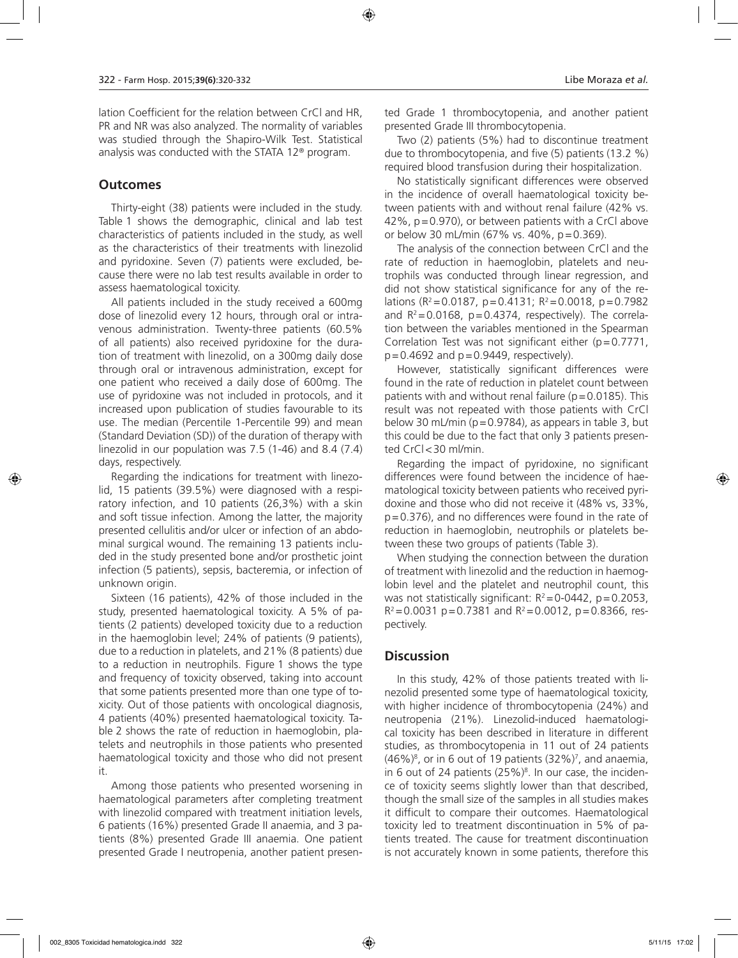lation Coefficient for the relation between CrCl and HR, PR and NR was also analyzed. The normality of variables was studied through the Shapiro-Wilk Test. Statistical analysis was conducted with the STATA 12® program.

#### **Outcomes**

Thirty-eight (38) patients were included in the study. Table 1 shows the demographic, clinical and lab test characteristics of patients included in the study, as well as the characteristics of their treatments with linezolid and pyridoxine. Seven (7) patients were excluded, because there were no lab test results available in order to assess haematological toxicity.

All patients included in the study received a 600mg dose of linezolid every 12 hours, through oral or intravenous administration. Twenty-three patients (60.5% of all patients) also received pyridoxine for the duration of treatment with linezolid, on a 300mg daily dose through oral or intravenous administration, except for one patient who received a daily dose of 600mg. The use of pyridoxine was not included in protocols, and it increased upon publication of studies favourable to its use. The median (Percentile 1-Percentile 99) and mean (Standard Deviation (SD)) of the duration of therapy with linezolid in our population was 7.5 (1-46) and 8.4 (7.4) days, respectively.

Regarding the indications for treatment with linezolid, 15 patients (39.5%) were diagnosed with a respiratory infection, and 10 patients (26,3%) with a skin and soft tissue infection. Among the latter, the majority presented cellulitis and/or ulcer or infection of an abdominal surgical wound. The remaining 13 patients included in the study presented bone and/or prosthetic joint infection (5 patients), sepsis, bacteremia, or infection of unknown origin.

Sixteen (16 patients), 42% of those included in the study, presented haematological toxicity. A 5% of patients (2 patients) developed toxicity due to a reduction in the haemoglobin level; 24% of patients (9 patients), due to a reduction in platelets, and 21% (8 patients) due to a reduction in neutrophils. Figure 1 shows the type and frequency of toxicity observed, taking into account that some patients presented more than one type of toxicity. Out of those patients with oncological diagnosis, 4 patients (40%) presented haematological toxicity. Table 2 shows the rate of reduction in haemoglobin, platelets and neutrophils in those patients who presented haematological toxicity and those who did not present it.

Among those patients who presented worsening in haematological parameters after completing treatment with linezolid compared with treatment initiation levels, 6 patients (16%) presented Grade II anaemia, and 3 patients (8%) presented Grade III anaemia. One patient presented Grade I neutropenia, another patient presen-

ted Grade 1 thrombocytopenia, and another patient presented Grade III thrombocytopenia.

Two (2) patients (5%) had to discontinue treatment due to thrombocytopenia, and five (5) patients (13.2 %) required blood transfusion during their hospitalization.

No statistically significant differences were observed in the incidence of overall haematological toxicity between patients with and without renal failure (42% vs. 42%, p=0.970), or between patients with a CrCl above or below 30 mL/min (67% vs. 40%, p=0.369).

The analysis of the connection between CrCl and the rate of reduction in haemoglobin, platelets and neutrophils was conducted through linear regression, and did not show statistical significance for any of the relations ( $R^2$  = 0.0187, p = 0.4131;  $R^2$  = 0.0018, p = 0.7982 and  $R^2$ =0.0168, p=0.4374, respectively). The correlation between the variables mentioned in the Spearman Correlation Test was not significant either  $(p=0.7771, p=0.7771)$  $p=0.4692$  and  $p=0.9449$ , respectively).

However, statistically significant differences were found in the rate of reduction in platelet count between patients with and without renal failure ( $p=0.0185$ ). This result was not repeated with those patients with CrCl below 30 mL/min ( $p=0.9784$ ), as appears in table 3, but this could be due to the fact that only 3 patients presented CrCl<30 ml/min.

Regarding the impact of pyridoxine, no significant differences were found between the incidence of haematological toxicity between patients who received pyridoxine and those who did not receive it (48% vs, 33%, p=0.376), and no differences were found in the rate of reduction in haemoglobin, neutrophils or platelets between these two groups of patients (Table 3).

When studying the connection between the duration of treatment with linezolid and the reduction in haemoglobin level and the platelet and neutrophil count, this was not statistically significant:  $R^2 = 0.0442$ , p=0.2053,  $R^2$  = 0.0031 p = 0.7381 and  $R^2$  = 0.0012, p = 0.8366, respectively.

### **Discussion**

In this study, 42% of those patients treated with linezolid presented some type of haematological toxicity, with higher incidence of thrombocytopenia (24%) and neutropenia (21%). Linezolid-induced haematological toxicity has been described in literature in different studies, as thrombocytopenia in 11 out of 24 patients  $(46\%)^8$ , or in 6 out of 19 patients  $(32\%)^7$ , and anaemia, in 6 out of 24 patients  $(25\%)^8$ . In our case, the incidence of toxicity seems slightly lower than that described, though the small size of the samples in all studies makes it difficult to compare their outcomes. Haematological toxicity led to treatment discontinuation in 5% of patients treated. The cause for treatment discontinuation is not accurately known in some patients, therefore this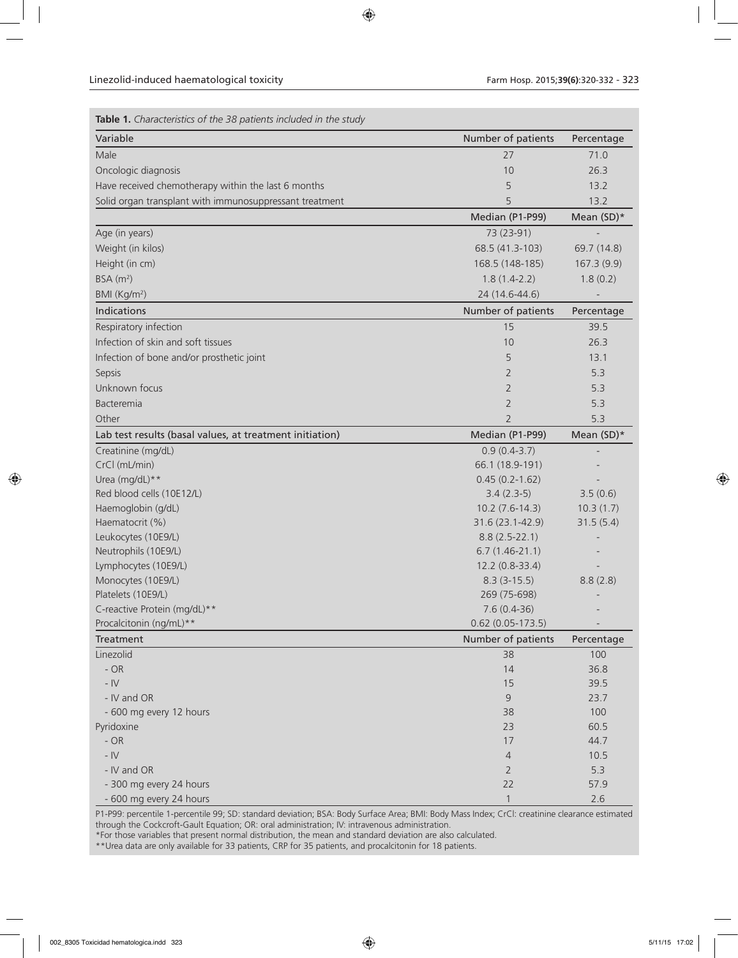| Table 1. Characteristics of the 38 patients included in the study |                     |             |
|-------------------------------------------------------------------|---------------------|-------------|
| Variable                                                          | Number of patients  | Percentage  |
| Male                                                              | 27                  | 71.0        |
| Oncologic diagnosis                                               | 10                  | 26.3        |
| Have received chemotherapy within the last 6 months               | 5                   | 13.2        |
| Solid organ transplant with immunosuppressant treatment           | 5                   | 13.2        |
|                                                                   | Median (P1-P99)     | Mean (SD)*  |
| Age (in years)                                                    | 73 (23-91)          |             |
| Weight (in kilos)                                                 | 68.5 (41.3-103)     | 69.7 (14.8) |
| Height (in cm)                                                    | 168.5 (148-185)     | 167.3(9.9)  |
| BSA(m <sup>2</sup> )                                              | $1.8(1.4-2.2)$      | 1.8(0.2)    |
| BMI (Kg/m <sup>2</sup> )                                          | 24 (14.6-44.6)      |             |
| <b>Indications</b>                                                | Number of patients  | Percentage  |
| Respiratory infection                                             | 15                  | 39.5        |
| Infection of skin and soft tissues                                | 10                  | 26.3        |
| Infection of bone and/or prosthetic joint                         | 5                   | 13.1        |
| Sepsis                                                            | $\overline{2}$      | 5.3         |
| Unknown focus                                                     | $\overline{2}$      | 5.3         |
| Bacteremia                                                        | $\overline{2}$      | 5.3         |
| Other                                                             | $\overline{2}$      | 5.3         |
| Lab test results (basal values, at treatment initiation)          | Median (P1-P99)     | Mean (SD)*  |
| Creatinine (mg/dL)                                                | $0.9(0.4-3.7)$      |             |
| CrCl (mL/min)                                                     | 66.1 (18.9-191)     |             |
| Urea (mg/dL)**                                                    | $0.45(0.2 - 1.62)$  |             |
| Red blood cells (10E12/L)                                         | $3.4(2.3-5)$        | 3.5(0.6)    |
| Haemoglobin (g/dL)                                                | $10.2(7.6-14.3)$    | 10.3(1.7)   |
| Haematocrit (%)                                                   | 31.6 (23.1-42.9)    | 31.5(5.4)   |
| Leukocytes (10E9/L)                                               | $8.8(2.5-22.1)$     |             |
| Neutrophils (10E9/L)                                              | $6.7(1.46-21.1)$    |             |
| Lymphocytes (10E9/L)                                              | 12.2 (0.8-33.4)     |             |
| Monocytes (10E9/L)                                                | $8.3(3-15.5)$       | 8.8(2.8)    |
| Platelets (10E9/L)                                                | 269 (75-698)        |             |
| C-reactive Protein (mg/dL)**                                      | $7.6(0.4-36)$       |             |
| Procalcitonin (ng/mL)**                                           | $0.62$ (0.05-173.5) |             |
| Treatment                                                         | Number of patients  | Percentage  |
| Linezolid                                                         | 38                  | 100         |
| $- OR$                                                            | 14                  | 36.8        |
| - $\mathsf{IV}$                                                   | 15                  | 39.5        |
| - IV and OR                                                       | 9                   | 23.7        |
| - 600 mg every 12 hours                                           | 38                  | 100         |
| Pyridoxine                                                        | 23                  | 60.5        |
| $- OR$                                                            | 17                  | 44.7        |
| - $\mathsf{IV}$                                                   | $\overline{4}$      | 10.5        |
| - IV and OR                                                       | $\overline{2}$      | 5.3         |
| - 300 mg every 24 hours                                           | 22                  | 57.9        |
| - 600 mg every 24 hours                                           | $\mathbf{1}$        | 2.6         |

P1-P99: percentile 1-percentile 99; SD: standard deviation; BSA: Body Surface Area; BMI: Body Mass Index; CrCl: creatinine clearance estimated through the Cockcroft-Gault Equation; OR: oral administration; IV: intravenous administration.

\*For those variables that present normal distribution, the mean and standard deviation are also calculated.

\*\*Urea data are only available for 33 patients, CRP for 35 patients, and procalcitonin for 18 patients.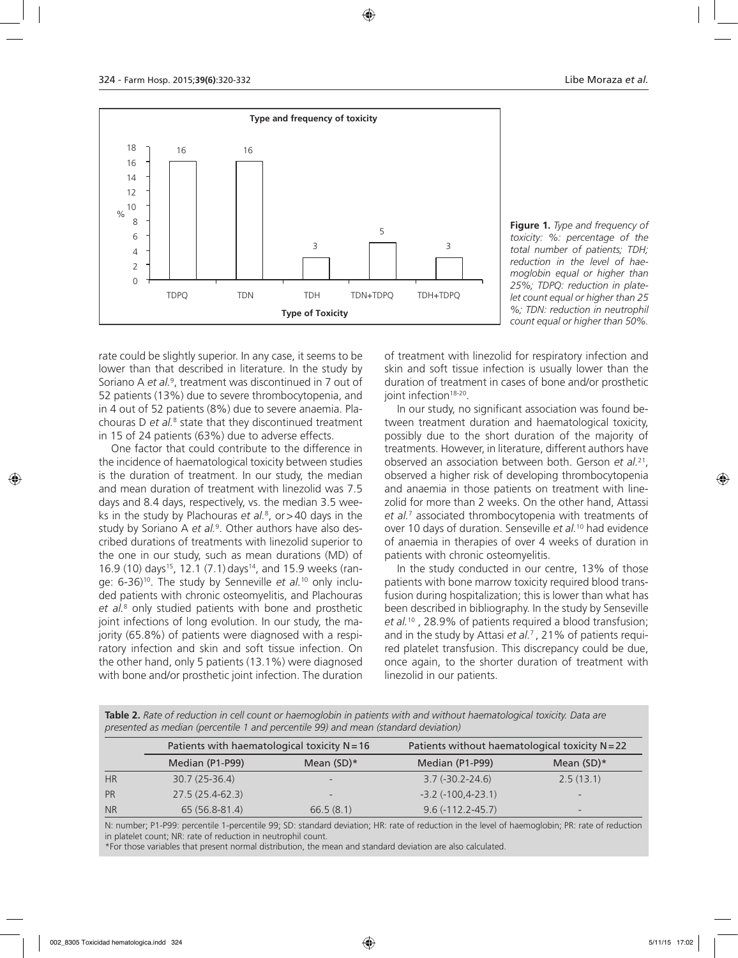

**Figure 1.** *Type and frequency of toxicity: %: percentage of the total number of patients; TDH; reduction in the level of haemoglobin equal or higher than 25%; TDPQ: reduction in platelet count equal or higher than 25 %; TDN: reduction in neutrophil count equal or higher than 50%.*

rate could be slightly superior. In any case, it seems to be lower than that described in literature. In the study by Soriano A et al.<sup>9</sup>, treatment was discontinued in 7 out of 52 patients (13%) due to severe thrombocytopenia, and in 4 out of 52 patients (8%) due to severe anaemia. Plachouras D et al.<sup>8</sup> state that they discontinued treatment in 15 of 24 patients (63%) due to adverse effects.

One factor that could contribute to the difference in the incidence of haematological toxicity between studies is the duration of treatment. In our study, the median and mean duration of treatment with linezolid was 7.5 days and 8.4 days, respectively, vs. the median 3.5 weeks in the study by Plachouras *et al.*<sup>8</sup> , or>40 days in the study by Soriano A *et al.*<sup>9</sup> . Other authors have also described durations of treatments with linezolid superior to the one in our study, such as mean durations (MD) of 16.9 (10) days<sup>15</sup>, 12.1 (7.1) days<sup>14</sup>, and 15.9 weeks (range: 6-36)10. The study by Senneville *et al.*10 only included patients with chronic osteomyelitis, and Plachouras *et al.*<sup>8</sup> only studied patients with bone and prosthetic joint infections of long evolution. In our study, the majority (65.8%) of patients were diagnosed with a respiratory infection and skin and soft tissue infection. On the other hand, only 5 patients (13.1%) were diagnosed with bone and/or prosthetic joint infection. The duration

of treatment with linezolid for respiratory infection and skin and soft tissue infection is usually lower than the duration of treatment in cases of bone and/or prosthetic joint infection<sup>18-20</sup>

In our study, no significant association was found between treatment duration and haematological toxicity, possibly due to the short duration of the majority of treatments. However, in literature, different authors have observed an association between both. Gerson *et al.*21, observed a higher risk of developing thrombocytopenia and anaemia in those patients on treatment with linezolid for more than 2 weeks. On the other hand, Attassi *et al.*<sup>7</sup> associated thrombocytopenia with treatments of over 10 days of duration. Senseville *et al.*10 had evidence of anaemia in therapies of over 4 weeks of duration in patients with chronic osteomyelitis.

In the study conducted in our centre, 13% of those patients with bone marrow toxicity required blood transfusion during hospitalization; this is lower than what has been described in bibliography. In the study by Senseville *et al.*10 , 28.9% of patients required a blood transfusion; and in the study by Attasi *et al.*7 , 21% of patients required platelet transfusion. This discrepancy could be due, once again, to the shorter duration of treatment with linezolid in our patients.

**Table 2.** *Rate of reduction in cell count or haemoglobin in patients with and without haematological toxicity. Data are presented as median (percentile 1 and percentile 99) and mean (standard deviation)*

|           | Patients with haematological toxicity $N = 16$ |              | Patients without haematological toxicity $N = 22$ |                          |
|-----------|------------------------------------------------|--------------|---------------------------------------------------|--------------------------|
|           | Median (P1-P99)                                | Mean $(SD)*$ | Median (P1-P99)                                   | Mean $(SD)*$             |
| HR        | $30.7(25-36.4)$                                |              | $3.7(-30.2-24.6)$                                 | 2.5(13.1)                |
| PR        | $27.5(25.4-62.3)$                              |              | $-3.2$ ( $-100, 4-23.1$ )                         | $\overline{\phantom{0}}$ |
| <b>NR</b> | 65 (56.8-81.4)                                 | 66.5(8.1)    | $9.6(-112.2-45.7)$                                | -                        |

N: number; P1-P99: percentile 1-percentile 99; SD: standard deviation; HR: rate of reduction in the level of haemoglobin; PR: rate of reduction in platelet count; NR: rate of reduction in neutrophil count.

\*For those variables that present normal distribution, the mean and standard deviation are also calculated.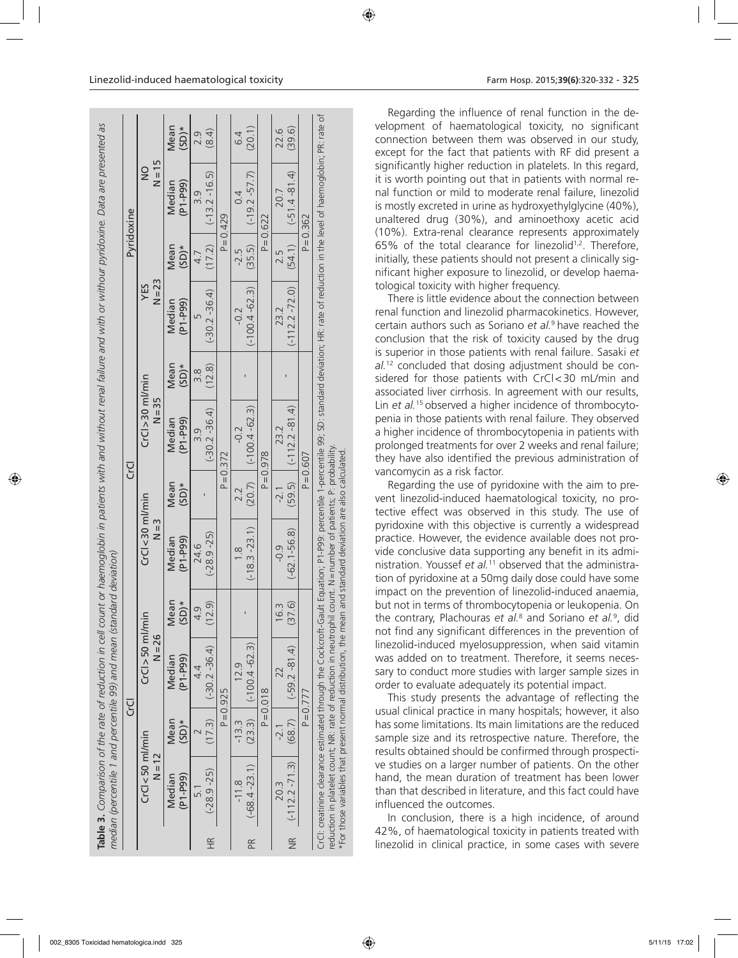|                      |                                |                 | Table 3. Comparison of the rate of reduction in cell count or haemoglobin in patients with and without renal failure and with or withour pyridoxine. Data are presented as<br>median (percentile 1 and percentile 99) and mean (standard deviation)                                                                                                                                        |                 |                                            |                 |                                |                 |                      |                 |                           |                 |
|----------------------|--------------------------------|-----------------|--------------------------------------------------------------------------------------------------------------------------------------------------------------------------------------------------------------------------------------------------------------------------------------------------------------------------------------------------------------------------------------------|-----------------|--------------------------------------------|-----------------|--------------------------------|-----------------|----------------------|-----------------|---------------------------|-----------------|
|                      |                                |                 | ה<br>ט                                                                                                                                                                                                                                                                                                                                                                                     |                 |                                            |                 | כי<br>כ                        |                 |                      |                 | Pyridoxine                |                 |
|                      | $CrCl < 50$ ml/min<br>$N = 12$ |                 | $CrCl > 50$ ml/min<br>$N = 26$                                                                                                                                                                                                                                                                                                                                                             |                 | $CrCl < 30$ ml/min<br>$N = 3$              |                 | $CrCl > 30$ ml/min<br>$N = 35$ |                 | $N = 23$<br>YES      |                 | $N = 15$<br>$\frac{0}{2}$ |                 |
|                      | $(P1-P99)$<br>Median           | Mean<br>$(SD)*$ | $(P1 - P99)$<br>Median                                                                                                                                                                                                                                                                                                                                                                     | Mean<br>$(SD)*$ | $(P1-P99)$<br>Median                       | Mean<br>$(SD)*$ | $(P1 - P99)$<br>Median         | Mean<br>$(SD)*$ | $(P1-P99)$<br>Median | Mean<br>$(SD)*$ | $(P1 - P99)$<br>Median    | Mean<br>$(SD)*$ |
|                      | $\overline{51}$                |                 | 4.4                                                                                                                                                                                                                                                                                                                                                                                        | σ<br>√<br>4     | 24.6                                       |                 | o.ic                           | 38              |                      | 4.7             | o.ic                      | 2.9             |
| $\frac{\alpha}{\pi}$ | $(-28.9 - 25)$                 |                 | $(17.3)$ $(-30.2 -36.4)$                                                                                                                                                                                                                                                                                                                                                                   | (12.9)          | $(-28.9 - 25)$                             |                 | $(-30.2 - 36.4)$               | (12.8)          | $(-30.2 - 36.4)$     |                 | $(17.2)$ $(-13.2 -16.5)$  | (8.4)           |
|                      |                                |                 | $P = 0.925$                                                                                                                                                                                                                                                                                                                                                                                |                 |                                            |                 | $P = 0.372$                    |                 |                      |                 | $P = 0.429$               |                 |
|                      | $-11.8$                        | $-13.3$         | 12.9                                                                                                                                                                                                                                                                                                                                                                                       |                 | $\frac{8}{1}$                              | 2.2             | $-0.2$                         |                 | $-0.2$               | -2.5            | 0.4                       | 6.4             |
| Æ                    | $(-68.4 - 23.1)$               |                 | $(23.3)$ $(-100.4 - 62.3)$                                                                                                                                                                                                                                                                                                                                                                 |                 | $(-18.3 - 23.1)$                           |                 | $(20.7)$ $(-100.4 - 62.3)$     |                 | $(-100.4 - 62.3)$    | (35.5)          | $(-19.2 - 57.7)$          | (20.1)          |
|                      |                                |                 | $P = 0.018$                                                                                                                                                                                                                                                                                                                                                                                |                 |                                            |                 | $P = 0.978$                    |                 |                      |                 | $P = 0.622$               |                 |
|                      | 20.3                           | $-2.1$          |                                                                                                                                                                                                                                                                                                                                                                                            | 3<br>16.        | $\frac{1}{2}$                              | $-2.1$          | 23.2                           |                 | 23.2                 | 2.5             | 20.7                      | 22.6            |
|                      | NR (-112.2-71.3)               |                 | $(68.7)$ $(-59.2 - 81.4)$                                                                                                                                                                                                                                                                                                                                                                  | (37.6)          | $(-62.1 - 56.8)$                           |                 | $(59.5)$ $(-112.2 - 81.4)$     |                 | $(-112.2 - 72.0)$    |                 | $(54.1)$ $(-51.4 - 81.4)$ | (39.6)          |
|                      |                                |                 | $P = 0.777$                                                                                                                                                                                                                                                                                                                                                                                |                 |                                            |                 | $P = 0.607$                    |                 |                      |                 | $P = 0.362$               |                 |
|                      |                                |                 | CrCl: creatinine clearance estimated through the Cockcroft-Gault Equation; P1-P99: percentile 1-percentile 99; SD: standard deviation; HR: rate of reduction in the level of haemoglobin; PR: rate of<br>reduction in platelet count; NR: rate of reduction in neutrophil count. N = number of patients; P: probability<br>*For those variables that present normal distribution, the mean |                 | and standard deviation are also calculated |                 |                                |                 |                      |                 |                           |                 |

Regarding the influence of renal function in the development of haematological toxicity, no significant connection between them was observed in our study, except for the fact that patients with RF did present a significantly higher reduction in platelets. In this regard, it is worth pointing out that in patients with normal renal function or mild to moderate renal failure, linezolid is mostly excreted in urine as hydroxyethylglycine (40%), unaltered drug (30%), and aminoethoxy acetic acid (10%). Extra-renal clearance represents approximately 65% of the total clearance for linezolid1,2. Therefore, initially, these patients should not present a clinically significant higher exposure to linezolid, or develop haematological toxicity with higher frequency.

There is little evidence about the connection between renal function and linezolid pharmacokinetics. However, certain authors such as Soriano *et al.*9 have reached the conclusion that the risk of toxicity caused by the drug is superior in those patients with renal failure. Sasaki *et al.*12 concluded that dosing adjustment should be considered for those patients with CrCl<30 mL/min and associated liver cirrhosis. In agreement with our results, Lin *et al.*15 observed a higher incidence of thrombocytopenia in those patients with renal failure. They observed a higher incidence of thrombocytopenia in patients with prolonged treatments for over 2 weeks and renal failure; they have also identified the previous administration of vancomycin as a risk factor.

Regarding the use of pyridoxine with the aim to prevent linezolid-induced haematological toxicity, no protective effect was observed in this study. The use of pyridoxine with this objective is currently a widespread practice. However, the evidence available does not provide conclusive data supporting any benefit in its administration. Youssef *et al.*11 observed that the administration of pyridoxine at a 50mg daily dose could have some impact on the prevention of linezolid-induced anaemia, but not in terms of thrombocytopenia or leukopenia. On the contrary, Plachouras *et al.*<sup>8</sup> and Soriano *et al.*<sup>9</sup> , did not find any significant differences in the prevention of linezolid-induced myelosuppression, when said vitamin was added on to treatment. Therefore, it seems necessary to conduct more studies with larger sample sizes in order to evaluate adequately its potential impact.

This study presents the advantage of reflecting the usual clinical practice in many hospitals; however, it also has some limitations. Its main limitations are the reduced sample size and its retrospective nature. Therefore, the results obtained should be confirmed through prospective studies on a larger number of patients. On the other hand, the mean duration of treatment has been lower than that described in literature, and this fact could have influenced the outcomes.

In conclusion, there is a high incidence, of around 42%, of haematological toxicity in patients treated with linezolid in clinical practice, in some cases with severe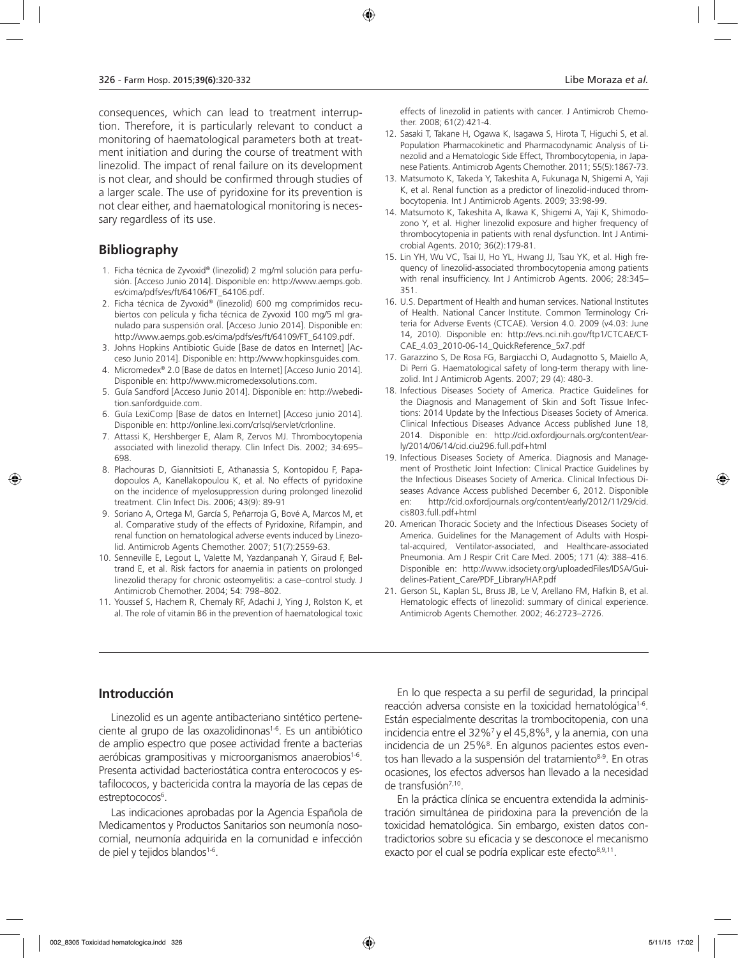consequences, which can lead to treatment interruption. Therefore, it is particularly relevant to conduct a monitoring of haematological parameters both at treatment initiation and during the course of treatment with linezolid. The impact of renal failure on its development is not clear, and should be confirmed through studies of a larger scale. The use of pyridoxine for its prevention is not clear either, and haematological monitoring is necessary regardless of its use.

### **Bibliography**

- 1. Ficha técnica de Zyvoxid® (linezolid) 2 mg/ml solución para perfusión. [Acceso Junio 2014]. Disponible en: http://www.aemps.gob. es/cima/pdfs/es/ft/64106/FT\_64106.pdf.
- 2. Ficha técnica de Zyvoxid® (linezolid) 600 mg comprimidos recubiertos con película y ficha técnica de Zyvoxid 100 mg/5 ml granulado para suspensión oral. [Acceso Junio 2014]. Disponible en: http://www.aemps.gob.es/cima/pdfs/es/ft/64109/FT\_64109.pdf.
- 3. Johns Hopkins Antibiotic Guide [Base de datos en Internet] [Acceso Junio 2014]. Disponible en: http://www.hopkinsguides.com.
- 4. Micromedex® 2.0 [Base de datos en Internet] [Acceso Junio 2014]. Disponible en: http://www.micromedexsolutions.com.
- 5. Guía Sandford [Acceso Junio 2014]. Disponible en: http://webedition.sanfordguide.com.
- 6. Guía LexiComp [Base de datos en Internet] [Acceso junio 2014]. Disponible en: http://online.lexi.com/crlsql/servlet/crlonline.
- 7. Attassi K, Hershberger E, Alam R, Zervos MJ. Thrombocytopenia associated with linezolid therapy. Clin Infect Dis. 2002; 34:695– 698.
- 8. Plachouras D, Giannitsioti E, Athanassia S, Kontopidou F, Papadopoulos A, Kanellakopoulou K, et al. No effects of pyridoxine on the incidence of myelosuppression during prolonged linezolid treatment. Clin Infect Dis. 2006; 43(9): 89-91
- 9. Soriano A, Ortega M, García S, Peñarroja G, Bové A, Marcos M, et al. Comparative study of the effects of Pyridoxine, Rifampin, and renal function on hematological adverse events induced by Linezolid. Antimicrob Agents Chemother. 2007; 51(7):2559-63.
- 10. Senneville E, Legout L, Valette M, Yazdanpanah Y, Giraud F, Beltrand E, et al. Risk factors for anaemia in patients on prolonged linezolid therapy for chronic osteomyelitis: a case–control study. J Antimicrob Chemother. 2004; 54: 798–802.
- 11. Youssef S, Hachem R, Chemaly RF, Adachi J, Ying J, Rolston K, et al. The role of vitamin B6 in the prevention of haematological toxic

effects of linezolid in patients with cancer. J Antimicrob Chemother. 2008; 61(2):421-4.

- 12. Sasaki T, Takane H, Ogawa K, Isagawa S, Hirota T, Higuchi S, et al. Population Pharmacokinetic and Pharmacodynamic Analysis of Linezolid and a Hematologic Side Effect, Thrombocytopenia, in Japanese Patients. Antimicrob Agents Chemother. 2011; 55(5):1867-73.
- 13. Matsumoto K, Takeda Y, Takeshita A, Fukunaga N, Shigemi A, Yaji K, et al. Renal function as a predictor of linezolid-induced thrombocytopenia. Int J Antimicrob Agents. 2009; 33:98-99.
- 14. Matsumoto K, Takeshita A, Ikawa K, Shigemi A, Yaji K, Shimodozono Y, et al. Higher linezolid exposure and higher frequency of thrombocytopenia in patients with renal dysfunction. Int J Antimicrobial Agents. 2010; 36(2):179-81.
- 15. Lin YH, Wu VC, Tsai IJ, Ho YL, Hwang JJ, Tsau YK, et al. High frequency of linezolid-associated thrombocytopenia among patients with renal insufficiency. Int J Antimicrob Agents. 2006; 28:345– 351.
- 16. U.S. Department of Health and human services. National Institutes of Health. National Cancer Institute. Common Terminology Criteria for Adverse Events (CTCAE). Version 4.0. 2009 (v4.03: June 14, 2010). Disponible en: http://evs.nci.nih.gov/ftp1/CTCAE/CT-CAE\_4.03\_2010-06-14\_QuickReference\_5x7.pdf
- 17. Garazzino S, De Rosa FG, Bargiacchi O, Audagnotto S, Maiello A, Di Perri G. Haematological safety of long-term therapy with linezolid. Int J Antimicrob Agents. 2007; 29 (4): 480-3.
- 18. Infectious Diseases Society of America. Practice Guidelines for the Diagnosis and Management of Skin and Soft Tissue Infections: 2014 Update by the Infectious Diseases Society of America. Clinical Infectious Diseases Advance Access published June 18, 2014. Disponible en: http://cid.oxfordjournals.org/content/early/2014/06/14/cid.ciu296.full.pdf+html
- 19. Infectious Diseases Society of America. Diagnosis and Management of Prosthetic Joint Infection: Clinical Practice Guidelines by the Infectious Diseases Society of America. Clinical Infectious Diseases Advance Access published December 6, 2012. Disponible en: http://cid.oxfordjournals.org/content/early/2012/11/29/cid. cis803.full.pdf+html
- 20. American Thoracic Society and the Infectious Diseases Society of America. Guidelines for the Management of Adults with Hospital-acquired, Ventilator-associated, and Healthcare-associated Pneumonia. Am J Respir Crit Care Med. 2005; 171 (4): 388–416. Disponible en: http://www.idsociety.org/uploadedFiles/IDSA/Guidelines-Patient\_Care/PDF\_Library/HAP.pdf
- 21. Gerson SL, Kaplan SL, Bruss JB, Le V, Arellano FM, Hafkin B, et al. Hematologic effects of linezolid: summary of clinical experience. Antimicrob Agents Chemother. 2002; 46:2723–2726.

### **Introducción**

Linezolid es un agente antibacteriano sintético perteneciente al grupo de las oxazolidinonas<sup>1-6</sup>. Es un antibiótico de amplio espectro que posee actividad frente a bacterias aeróbicas grampositivas y microorganismos anaerobios<sup>1-6</sup>. Presenta actividad bacteriostática contra enterococos y estafilococos, y bactericida contra la mayoría de las cepas de estreptococos<sup>6</sup>.

Las indicaciones aprobadas por la Agencia Española de Medicamentos y Productos Sanitarios son neumonía nosocomial, neumonía adquirida en la comunidad e infección de piel y tejidos blandos $1-6$ .

En lo que respecta a su perfil de seguridad, la principal reacción adversa consiste en la toxicidad hematológica<sup>1-6</sup>. Están especialmente descritas la trombocitopenia, con una incidencia entre el 32%<sup>7</sup> y el 45,8%<sup>8</sup>, y la anemia, con una incidencia de un 25%<sup>8</sup>. En algunos pacientes estos eventos han llevado a la suspensión del tratamiento<sup>8-9</sup>. En otras ocasiones, los efectos adversos han llevado a la necesidad de transfusión<sup>7,10</sup>.

En la práctica clínica se encuentra extendida la administración simultánea de piridoxina para la prevención de la toxicidad hematológica. Sin embargo, existen datos contradictorios sobre su eficacia y se desconoce el mecanismo exacto por el cual se podría explicar este efecto<sup>8,9,11</sup>.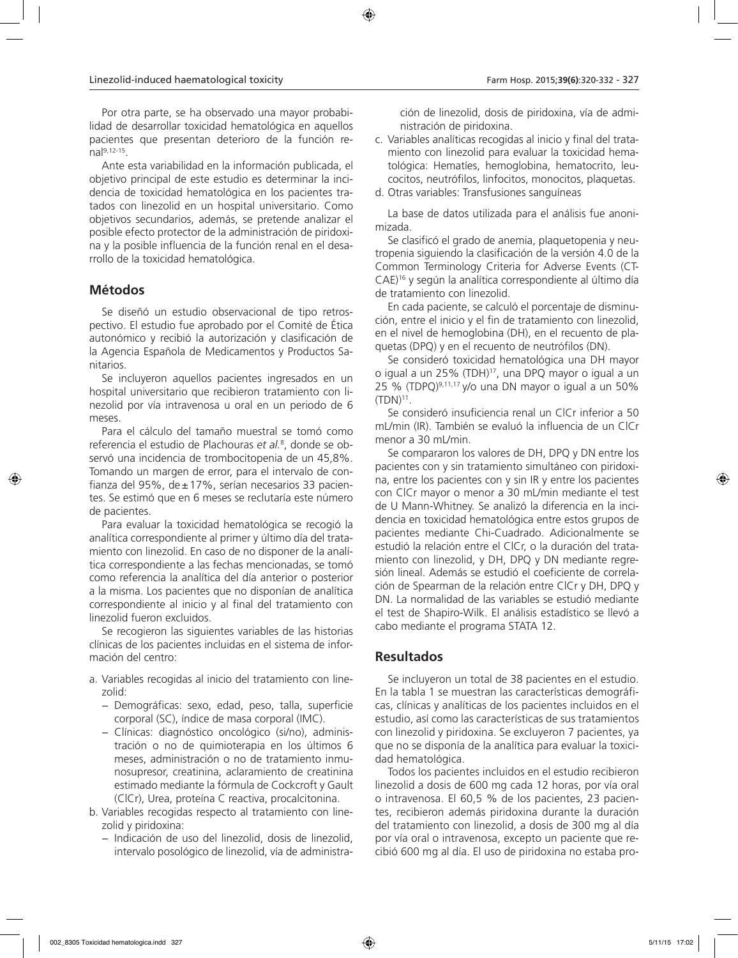Por otra parte, se ha observado una mayor probabilidad de desarrollar toxicidad hematológica en aquellos pacientes que presentan deterioro de la función renal9,12-15.

Ante esta variabilidad en la información publicada, el objetivo principal de este estudio es determinar la incidencia de toxicidad hematológica en los pacientes tratados con linezolid en un hospital universitario. Como objetivos secundarios, además, se pretende analizar el posible efecto protector de la administración de piridoxina y la posible influencia de la función renal en el desarrollo de la toxicidad hematológica.

# **Métodos**

Se diseñó un estudio observacional de tipo retrospectivo. El estudio fue aprobado por el Comité de Ética autonómico y recibió la autorización y clasificación de la Agencia Española de Medicamentos y Productos Sanitarios.

Se incluyeron aquellos pacientes ingresados en un hospital universitario que recibieron tratamiento con linezolid por vía intravenosa u oral en un periodo de 6 meses.

Para el cálculo del tamaño muestral se tomó como referencia el estudio de Plachouras *et al.*<sup>8</sup> , donde se observó una incidencia de trombocitopenia de un 45,8%. Tomando un margen de error, para el intervalo de confianza del 95%, de±17%, serían necesarios 33 pacientes. Se estimó que en 6 meses se reclutaría este número de pacientes.

Para evaluar la toxicidad hematológica se recogió la analítica correspondiente al primer y último día del tratamiento con linezolid. En caso de no disponer de la analítica correspondiente a las fechas mencionadas, se tomó como referencia la analítica del día anterior o posterior a la misma. Los pacientes que no disponían de analítica correspondiente al inicio y al final del tratamiento con linezolid fueron excluidos.

Se recogieron las siguientes variables de las historias clínicas de los pacientes incluidas en el sistema de información del centro:

- a. Variables recogidas al inicio del tratamiento con linezolid:
	- − Demográficas: sexo, edad, peso, talla, superficie corporal (SC), índice de masa corporal (IMC).
	- − Clínicas: diagnóstico oncológico (si/no), administración o no de quimioterapia en los últimos 6 meses, administración o no de tratamiento inmunosupresor, creatinina, aclaramiento de creatinina estimado mediante la fórmula de Cockcroft y Gault (ClCr), Urea, proteína C reactiva, procalcitonina.
- b. Variables recogidas respecto al tratamiento con linezolid y piridoxina:
	- − Indicación de uso del linezolid, dosis de linezolid, intervalo posológico de linezolid, vía de administra-

ción de linezolid, dosis de piridoxina, vía de administración de piridoxina.

c. Variables analíticas recogidas al inicio y final del tratamiento con linezolid para evaluar la toxicidad hematológica: Hematíes, hemoglobina, hematocrito, leucocitos, neutrófilos, linfocitos, monocitos, plaquetas.

d. Otras variables: Transfusiones sanguíneas

La base de datos utilizada para el análisis fue anonimizada.

Se clasificó el grado de anemia, plaquetopenia y neutropenia siguiendo la clasificación de la versión 4.0 de la Common Terminology Criteria for Adverse Events (CT-CAE)16 y según la analítica correspondiente al último día de tratamiento con linezolid.

En cada paciente, se calculó el porcentaje de disminución, entre el inicio y el fin de tratamiento con linezolid, en el nivel de hemoglobina (DH), en el recuento de plaquetas (DPQ) y en el recuento de neutrófilos (DN).

Se consideró toxicidad hematológica una DH mayor o igual a un 25% (TDH)17, una DPQ mayor o igual a un 25 % (TDPQ)<sup>9,11,17</sup> y/o una DN mayor o igual a un 50%  $(TDN)^{11}$ .

Se consideró insuficiencia renal un ClCr inferior a 50 mL/min (IR). También se evaluó la influencia de un ClCr menor a 30 mL/min.

Se compararon los valores de DH, DPQ y DN entre los pacientes con y sin tratamiento simultáneo con piridoxina, entre los pacientes con y sin IR y entre los pacientes con ClCr mayor o menor a 30 mL/min mediante el test de U Mann-Whitney. Se analizó la diferencia en la incidencia en toxicidad hematológica entre estos grupos de pacientes mediante Chi-Cuadrado. Adicionalmente se estudió la relación entre el ClCr, o la duración del tratamiento con linezolid, y DH, DPQ y DN mediante regresión lineal. Además se estudió el coeficiente de correlación de Spearman de la relación entre ClCr y DH, DPQ y DN. La normalidad de las variables se estudió mediante el test de Shapiro-Wilk. El análisis estadístico se llevó a cabo mediante el programa STATA 12.

# **Resultados**

Se incluyeron un total de 38 pacientes en el estudio. En la tabla 1 se muestran las características demográficas, clínicas y analíticas de los pacientes incluidos en el estudio, así como las características de sus tratamientos con linezolid y piridoxina. Se excluyeron 7 pacientes, ya que no se disponía de la analítica para evaluar la toxicidad hematológica.

Todos los pacientes incluidos en el estudio recibieron linezolid a dosis de 600 mg cada 12 horas, por vía oral o intravenosa. El 60,5 % de los pacientes, 23 pacientes, recibieron además piridoxina durante la duración del tratamiento con linezolid, a dosis de 300 mg al día por vía oral o intravenosa, excepto un paciente que recibió 600 mg al día. El uso de piridoxina no estaba pro-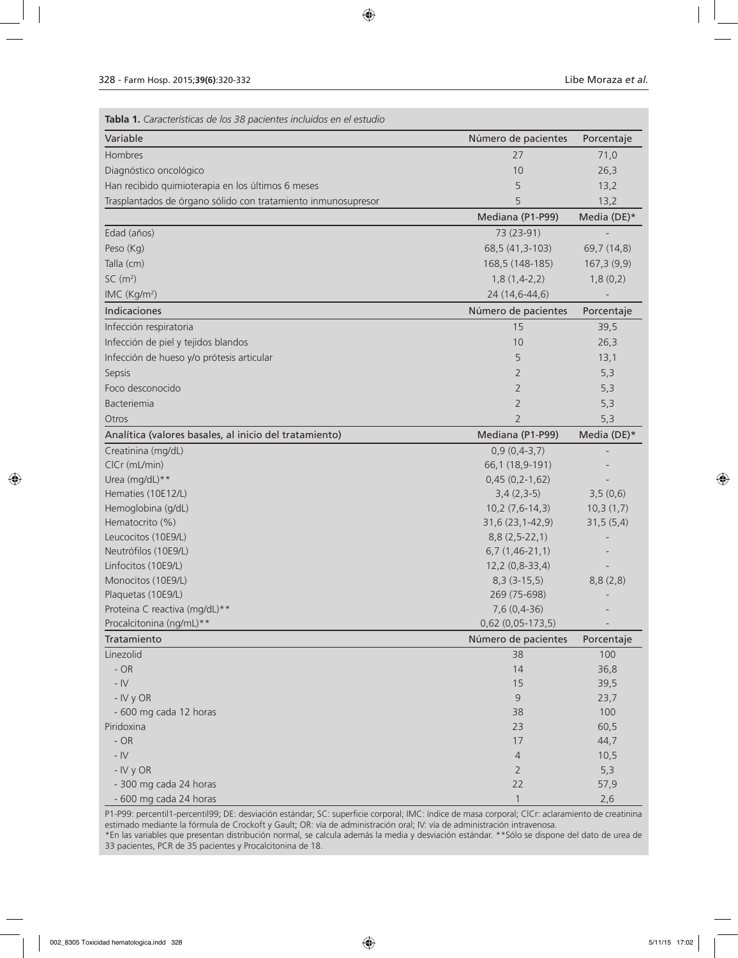| Tabla 1. Características de los 38 pacientes incluidos en el estudio |                     |             |
|----------------------------------------------------------------------|---------------------|-------------|
| Variable                                                             | Número de pacientes | Porcentaje  |
| Hombres                                                              | 27                  | 71,0        |
| Diagnóstico oncológico                                               | 10                  | 26,3        |
| Han recibido quimioterapia en los últimos 6 meses                    | 5                   | 13,2        |
| Trasplantados de órgano sólido con tratamiento inmunosupresor        | 5                   | 13,2        |
|                                                                      | Mediana (P1-P99)    | Media (DE)* |
| Edad (años)                                                          | 73 (23-91)          |             |
| Peso (Kg)                                                            | 68,5 (41,3-103)     | 69,7 (14,8) |
| Talla (cm)                                                           | 168,5 (148-185)     | 167,3(9,9)  |
| SC(m <sup>2</sup> )                                                  | $1,8(1,4-2,2)$      | 1,8(0,2)    |
| IMC (Kg/m <sup>2</sup> )                                             | 24 (14,6-44,6)      |             |
| Indicaciones                                                         | Número de pacientes | Porcentaje  |
| Infección respiratoria                                               | 15                  | 39,5        |
| Infección de piel y tejidos blandos                                  | 10                  | 26,3        |
| Infección de hueso y/o prótesis articular                            | 5                   | 13,1        |
| Sepsis                                                               | 2                   | 5,3         |
| Foco desconocido                                                     | 2                   | 5,3         |
| Bacteriemia                                                          | $\overline{2}$      | 5,3         |
| Otros                                                                | $\overline{2}$      | 5,3         |
| Analítica (valores basales, al inicio del tratamiento)               | Mediana (P1-P99)    | Media (DE)* |
| Creatinina (mg/dL)                                                   | $0,9(0,4-3,7)$      |             |
| CICr (mL/min)                                                        | 66,1 (18,9-191)     |             |
| Urea (mg/dL)**                                                       | $0,45(0,2-1,62)$    |             |
| Hematies (10E12/L)                                                   | $3,4(2,3-5)$        | 3,5(0,6)    |
| Hemoglobina (g/dL)                                                   | $10,2(7,6-14,3)$    | 10,3(1,7)   |
| Hematocrito (%)                                                      | $31,6(23,1-42,9)$   | 31,5(5,4)   |
| Leucocitos (10E9/L)                                                  | $8,8(2,5-22,1)$     |             |
| Neutrófilos (10E9/L)                                                 | $6,7(1,46-21,1)$    |             |
| Linfocitos (10E9/L)                                                  | 12,2 (0,8-33,4)     |             |
| Monocitos (10E9/L)                                                   | $8,3(3-15,5)$       | 8,8(2,8)    |
| Plaquetas (10E9/L)                                                   | 269 (75-698)        |             |
| Proteina C reactiva (mg/dL)**                                        | 7,6 (0,4-36)        |             |
| Procalcitonina (ng/mL)**                                             | 0,62 (0,05-173,5)   |             |
| Tratamiento                                                          | Número de pacientes | Porcentaje  |
| Linezolid                                                            | 38                  | 100         |
| $- OR$                                                               | 14                  | 36,8        |
| - $\mathsf{IV}$                                                      | 15                  | 39,5        |
| - IV y OR                                                            | 9                   | 23,7        |
| - 600 mg cada 12 horas                                               | 38                  | 100         |
| Piridoxina                                                           | 23                  | 60,5        |
| $- OR$                                                               | 17                  | 44,7        |
| - $\mathsf{IV}$                                                      | 4                   | 10,5        |
| - IV y OR                                                            | $\overline{2}$      | 5,3         |
| - 300 mg cada 24 horas                                               | 22                  | 57,9        |
| - 600 mg cada 24 horas                                               | $\mathbf{1}$        | 2,6         |

P1-P99: percentil1-percentil99; DE: desviación estándar; SC: superficie corporal; IMC: índice de masa corporal; ClCr: aclaramiento de creatinina estimado mediante la fórmula de Crockoft y Gault; OR: vía de administración oral; IV: vía de administración intravenosa. \*En las variables que presentan distribución normal, se calcula además la media y desviación estándar. \*\*Sólo se dispone del dato de urea de 33 pacientes, PCR de 35 pacientes y Procalcitonina de 18.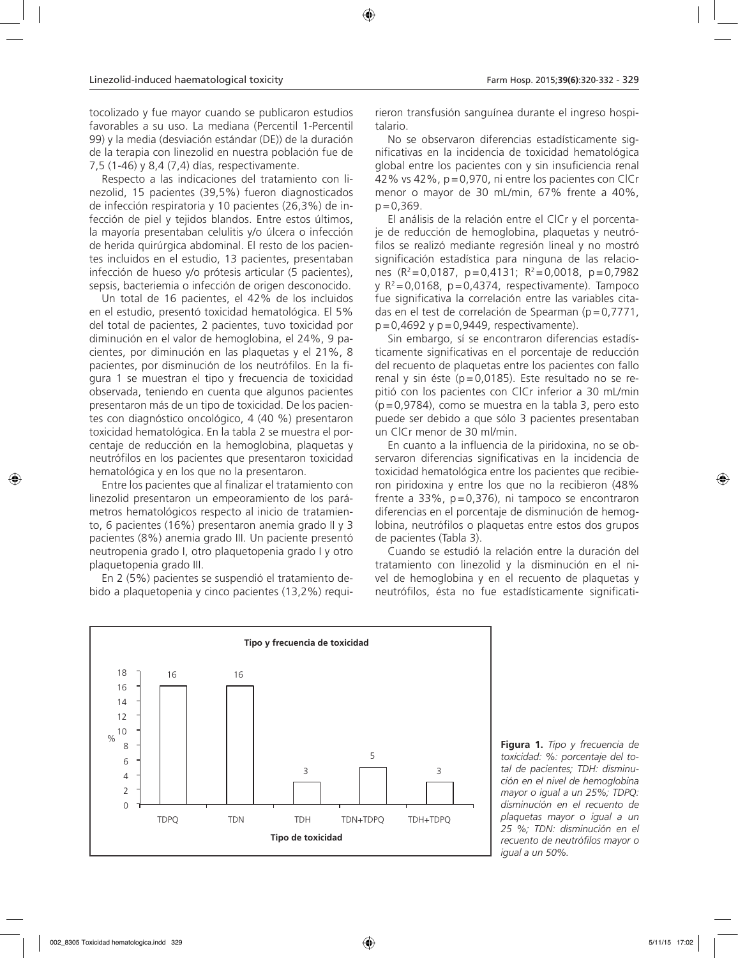tocolizado y fue mayor cuando se publicaron estudios favorables a su uso. La mediana (Percentil 1-Percentil 99) y la media (desviación estándar (DE)) de la duración de la terapia con linezolid en nuestra población fue de 7,5 (1-46) y 8,4 (7,4) días, respectivamente.

Respecto a las indicaciones del tratamiento con linezolid, 15 pacientes (39,5%) fueron diagnosticados de infección respiratoria y 10 pacientes (26,3%) de infección de piel y tejidos blandos. Entre estos últimos, la mayoría presentaban celulitis y/o úlcera o infección de herida quirúrgica abdominal. El resto de los pacientes incluidos en el estudio, 13 pacientes, presentaban infección de hueso y/o prótesis articular (5 pacientes), sepsis, bacteriemia o infección de origen desconocido.

Un total de 16 pacientes, el 42% de los incluidos en el estudio, presentó toxicidad hematológica. El 5% del total de pacientes, 2 pacientes, tuvo toxicidad por diminución en el valor de hemoglobina, el 24%, 9 pacientes, por diminución en las plaquetas y el 21%, 8 pacientes, por disminución de los neutrófilos. En la figura 1 se muestran el tipo y frecuencia de toxicidad observada, teniendo en cuenta que algunos pacientes presentaron más de un tipo de toxicidad. De los pacientes con diagnóstico oncológico, 4 (40 %) presentaron toxicidad hematológica. En la tabla 2 se muestra el porcentaje de reducción en la hemoglobina, plaquetas y neutrófilos en los pacientes que presentaron toxicidad hematológica y en los que no la presentaron.

Entre los pacientes que al finalizar el tratamiento con linezolid presentaron un empeoramiento de los parámetros hematológicos respecto al inicio de tratamiento, 6 pacientes (16%) presentaron anemia grado II y 3 pacientes (8%) anemia grado III. Un paciente presentó neutropenia grado I, otro plaquetopenia grado I y otro plaquetopenia grado III.

En 2 (5%) pacientes se suspendió el tratamiento debido a plaquetopenia y cinco pacientes (13,2%) requi-

rieron transfusión sanguínea durante el ingreso hospitalario.

No se observaron diferencias estadísticamente significativas en la incidencia de toxicidad hematológica global entre los pacientes con y sin insuficiencia renal 42% vs 42%, p=0,970, ni entre los pacientes con ClCr menor o mayor de 30 mL/min, 67% frente a 40%,  $p = 0,369$ .

El análisis de la relación entre el ClCr y el porcentaje de reducción de hemoglobina, plaquetas y neutrófilos se realizó mediante regresión lineal y no mostró significación estadística para ninguna de las relaciones  $(R^2=0.0187, p=0.4131; R^2=0.0018, p=0.7982$ y  $R^2 = 0.0168$ ,  $p = 0.4374$ , respectivamente). Tampoco fue significativa la correlación entre las variables citadas en el test de correlación de Spearman (p=0,7771,  $p=0,4692$  y  $p=0,9449$ , respectivamente).

Sin embargo, sí se encontraron diferencias estadísticamente significativas en el porcentaje de reducción del recuento de plaquetas entre los pacientes con fallo renal y sin éste (p=0,0185). Este resultado no se repitió con los pacientes con ClCr inferior a 30 mL/min (p=0,9784), como se muestra en la tabla 3, pero esto puede ser debido a que sólo 3 pacientes presentaban un ClCr menor de 30 ml/min.

En cuanto a la influencia de la piridoxina, no se observaron diferencias significativas en la incidencia de toxicidad hematológica entre los pacientes que recibieron piridoxina y entre los que no la recibieron (48% frente a  $33\%$ ,  $p=0,376$ ), ni tampoco se encontraron diferencias en el porcentaje de disminución de hemoglobina, neutrófilos o plaquetas entre estos dos grupos de pacientes (Tabla 3).

Cuando se estudió la relación entre la duración del tratamiento con linezolid y la disminución en el nivel de hemoglobina y en el recuento de plaquetas y neutrófilos, ésta no fue estadísticamente significati-



**Figura 1.** *Tipo y frecuencia de toxicidad: %: porcentaje del total de pacientes; TDH: disminución en el nivel de hemoglobina mayor o igual a un 25%; TDPQ: disminución en el recuento de plaquetas mayor o igual a un 25 %; TDN: disminución en el recuento de neutrófilos mayor o igual a un 50%.*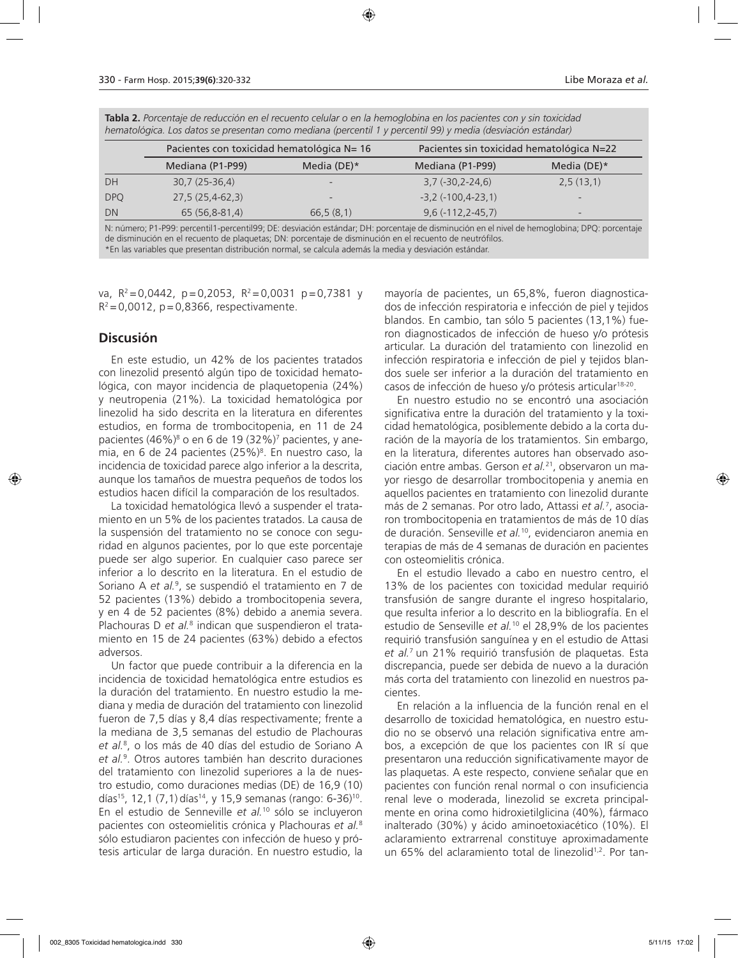|            | Pacientes con toxicidad hematológica N= 16 |                | Pacientes sin toxicidad hematológica N=22 |                |
|------------|--------------------------------------------|----------------|-------------------------------------------|----------------|
|            | Mediana (P1-P99)                           | Media (DE) $*$ | Mediana (P1-P99)                          | Media (DE) $*$ |
| DH         | $30,7(25-36,4)$                            |                | $3,7(-30,2-24,6)$                         | 2,5(13,1)      |
| <b>DPQ</b> | $27,5(25,4-62,3)$                          |                | $-3,2(-100,4-23,1)$                       |                |
| DN         | 65 (56,8-81,4)                             | 66,5(8,1)      | $9,6(-112,2-45,7)$                        |                |

**Tabla 2.** *Porcentaje de reducción en el recuento celular o en la hemoglobina en los pacientes con y sin toxicidad hematológica. Los datos se presentan como mediana (percentil 1 y percentil 99) y media (desviación estándar)*

N: número; P1-P99: percentil1-percentil99; DE: desviación estándar; DH: porcentaje de disminución en el nivel de hemoglobina; DPQ: porcentaje de disminución en el recuento de plaquetas; DN: porcentaje de disminución en el recuento de neutrófilos. \*En las variables que presentan distribución normal, se calcula además la media y desviación estándar.

va,  $R^2 = 0.0442$ ,  $p = 0.2053$ ,  $R^2 = 0.0031$   $p = 0.7381$  y  $R^2$  = 0,0012, p = 0,8366, respectivamente.

### **Discusión**

En este estudio, un 42% de los pacientes tratados con linezolid presentó algún tipo de toxicidad hematológica, con mayor incidencia de plaquetopenia (24%) y neutropenia (21%). La toxicidad hematológica por linezolid ha sido descrita en la literatura en diferentes estudios, en forma de trombocitopenia, en 11 de 24 pacientes (46%)<sup>8</sup> o en 6 de 19 (32%)<sup>7</sup> pacientes, y anemia, en 6 de 24 pacientes (25%)<sup>8</sup>. En nuestro caso, la incidencia de toxicidad parece algo inferior a la descrita, aunque los tamaños de muestra pequeños de todos los estudios hacen difícil la comparación de los resultados.

La toxicidad hematológica llevó a suspender el tratamiento en un 5% de los pacientes tratados. La causa de la suspensión del tratamiento no se conoce con seguridad en algunos pacientes, por lo que este porcentaje puede ser algo superior. En cualquier caso parece ser inferior a lo descrito en la literatura. En el estudio de Soriano A *et al.*<sup>9</sup> , se suspendió el tratamiento en 7 de 52 pacientes (13%) debido a trombocitopenia severa, y en 4 de 52 pacientes (8%) debido a anemia severa. Plachouras D et al.<sup>8</sup> indican que suspendieron el tratamiento en 15 de 24 pacientes (63%) debido a efectos adversos.

Un factor que puede contribuir a la diferencia en la incidencia de toxicidad hematológica entre estudios es la duración del tratamiento. En nuestro estudio la mediana y media de duración del tratamiento con linezolid fueron de 7,5 días y 8,4 días respectivamente; frente a la mediana de 3,5 semanas del estudio de Plachouras *et al.*<sup>8</sup> , o los más de 40 días del estudio de Soriano A *et al.*<sup>9</sup> . Otros autores también han descrito duraciones del tratamiento con linezolid superiores a la de nuestro estudio, como duraciones medias (DE) de 16,9 (10) días<sup>15</sup>, 12,1 (7,1) días<sup>14</sup>, y 15,9 semanas (rango: 6-36)<sup>10</sup>. En el estudio de Senneville *et al.*10 sólo se incluyeron pacientes con osteomielitis crónica y Plachouras *et al.*<sup>8</sup> sólo estudiaron pacientes con infección de hueso y prótesis articular de larga duración. En nuestro estudio, la

mayoría de pacientes, un 65,8%, fueron diagnosticados de infección respiratoria e infección de piel y tejidos blandos. En cambio, tan sólo 5 pacientes (13,1%) fueron diagnosticados de infección de hueso y/o prótesis articular. La duración del tratamiento con linezolid en infección respiratoria e infección de piel y tejidos blandos suele ser inferior a la duración del tratamiento en casos de infección de hueso y/o prótesis articular18-20.

En nuestro estudio no se encontró una asociación significativa entre la duración del tratamiento y la toxicidad hematológica, posiblemente debido a la corta duración de la mayoría de los tratamientos. Sin embargo, en la literatura, diferentes autores han observado asociación entre ambas. Gerson *et al.*21, observaron un mayor riesgo de desarrollar trombocitopenia y anemia en aquellos pacientes en tratamiento con linezolid durante más de 2 semanas. Por otro lado, Attassi *et al.*<sup>7</sup> , asociaron trombocitopenia en tratamientos de más de 10 días de duración. Senseville *et al.*10, evidenciaron anemia en terapias de más de 4 semanas de duración en pacientes con osteomielitis crónica.

En el estudio llevado a cabo en nuestro centro, el 13% de los pacientes con toxicidad medular requirió transfusión de sangre durante el ingreso hospitalario, que resulta inferior a lo descrito en la bibliografía. En el estudio de Senseville *et al.*10 el 28,9% de los pacientes requirió transfusión sanguínea y en el estudio de Attasi *et al.*7 un 21% requirió transfusión de plaquetas. Esta discrepancia, puede ser debida de nuevo a la duración más corta del tratamiento con linezolid en nuestros pacientes.

En relación a la influencia de la función renal en el desarrollo de toxicidad hematológica, en nuestro estudio no se observó una relación significativa entre ambos, a excepción de que los pacientes con IR sí que presentaron una reducción significativamente mayor de las plaquetas. A este respecto, conviene señalar que en pacientes con función renal normal o con insuficiencia renal leve o moderada, linezolid se excreta principalmente en orina como hidroxietilglicina (40%), fármaco inalterado (30%) y ácido aminoetoxiacético (10%). El aclaramiento extrarrenal constituye aproximadamente un 65% del aclaramiento total de linezolid<sup>1,2</sup>. Por tan-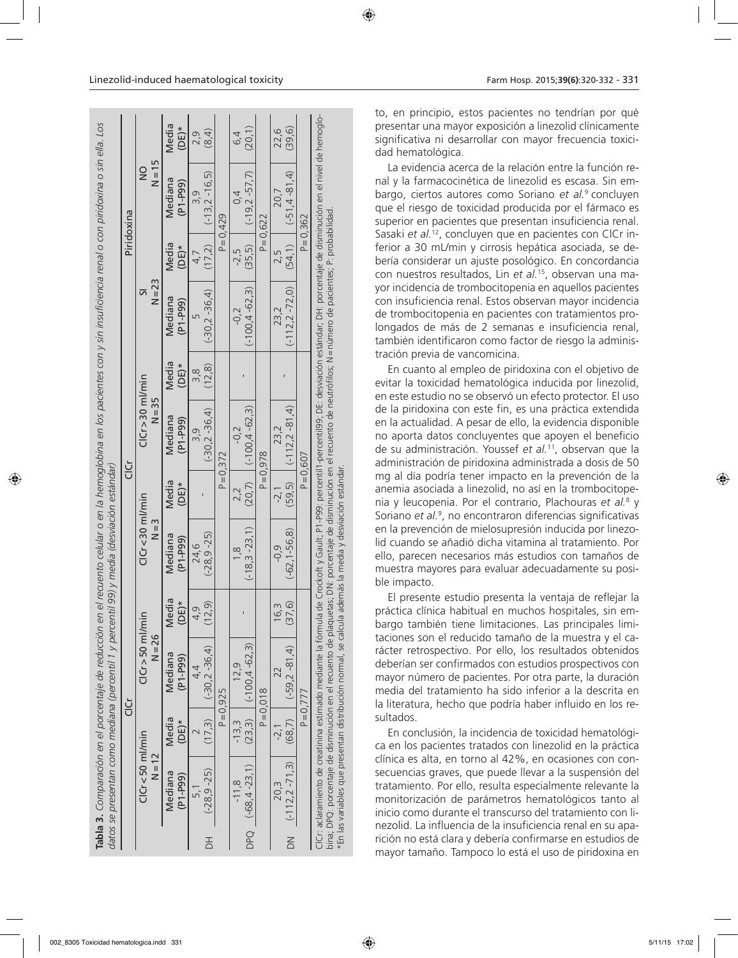|                           |                                   |                  | datos se presentan como mediana (percentil 1 y percentil 99) y media (desviación estándar)<br>Tabla 3. Comparación en el porcentaje de reducción en                                                                                                                                                                                                                                                                                             |                            |                                       |                  |                                |                  |                       |                  | el recuento celular o en la hemoglobina en los pacientes con y sin insuficiencia renal o con piridoxina o sin ella. Los |                  |
|---------------------------|-----------------------------------|------------------|-------------------------------------------------------------------------------------------------------------------------------------------------------------------------------------------------------------------------------------------------------------------------------------------------------------------------------------------------------------------------------------------------------------------------------------------------|----------------------------|---------------------------------------|------------------|--------------------------------|------------------|-----------------------|------------------|-------------------------------------------------------------------------------------------------------------------------|------------------|
|                           |                                   |                  | ن<br>ت                                                                                                                                                                                                                                                                                                                                                                                                                                          |                            |                                       |                  | ن<br>ت                         |                  |                       |                  | Piridoxina                                                                                                              |                  |
|                           | $C$ I $C$ r<50 ml/min<br>$N = 12$ |                  | $ClCr > 50$ ml/min<br>$N = 26$                                                                                                                                                                                                                                                                                                                                                                                                                  |                            | $ClCr < 30$ ml/min<br>$\frac{3}{2}$   |                  | $ClCr > 30$ ml/min<br>$N = 35$ |                  | $N = 23$<br>5         |                  | $N = 15$<br>$\frac{0}{2}$                                                                                               |                  |
|                           | Mediana<br>$(P1-P99)$             | Media<br>$(DE)*$ | Mediana<br>$(P1-P99)$                                                                                                                                                                                                                                                                                                                                                                                                                           | Media<br>$(DE)*$           | Mediana<br>$(P1-P99)$                 | Media<br>$(DE)*$ | Mediana<br>$(P1-P99)$          | Media<br>$(DE)*$ | Mediana<br>$(P1-P99)$ | Media<br>$(DE)*$ | Mediana<br>$(P1 - P99)$                                                                                                 | Media<br>$(DE)*$ |
|                           | 5.1                               |                  | 4.4                                                                                                                                                                                                                                                                                                                                                                                                                                             | Q                          | 24.6                                  |                  | თ.<br>ო                        | $\frac{8}{3}$    |                       | 4,7              | 3.9                                                                                                                     | 2,9              |
| $\overline{\overline{D}}$ | $(-28, 9 - 25)$                   |                  | $(17,3)$ $(-30,2-36,4)$                                                                                                                                                                                                                                                                                                                                                                                                                         | (12, 9)                    | $(-28, 9 - 25)$                       |                  | $(-30, 2 - 36, 4)$             | (12, 8)          | $(-30, 2 - 36, 4)$    |                  | $(17,2)$ $(-13,2-16,5)$                                                                                                 | (8, 4)           |
|                           |                                   |                  | $P = 0,925$                                                                                                                                                                                                                                                                                                                                                                                                                                     |                            |                                       |                  | $P = 0.372$                    |                  |                       |                  | $P = 0.429$                                                                                                             |                  |
|                           | $-11,8$                           | $-13.3$          | 12.9                                                                                                                                                                                                                                                                                                                                                                                                                                            |                            | $\frac{8}{1}$                         |                  | $-0,2$                         |                  | $-0.2$                | $-2.5$           | $\overline{0}$                                                                                                          | 6,4              |
|                           | DPQ $(-68, 4 - 23, 1)$            |                  | $(23,3)$ $(-100,4-62,3)$                                                                                                                                                                                                                                                                                                                                                                                                                        |                            | $(-18.3 - 23.1)$                      |                  | $(20,7)$ $(-100,4-62,3)$       |                  | $(-100, 4 - 62, 3)$   | (35,5)           | $(-19, 2 - 57, 7)$                                                                                                      | (20, 1)          |
|                           |                                   |                  | $P = 0.018$                                                                                                                                                                                                                                                                                                                                                                                                                                     |                            |                                       |                  | $P = 0.978$                    |                  |                       |                  | $P = 0,622$                                                                                                             |                  |
|                           | 20.3                              | $-2,1$           | 22                                                                                                                                                                                                                                                                                                                                                                                                                                              | W<br>$\frac{6}{5}$         | $-0.9$                                | $-2,$            | 23.2                           |                  | 23.2                  | 2.5              | 20.7                                                                                                                    | 22,6             |
|                           | DN $(-112, 2 - 71, 3)$            |                  | $(68,7)$   $(-59.2 - 81.4)$                                                                                                                                                                                                                                                                                                                                                                                                                     | $\widehat{\Theta}$<br>(37) | $(-62, 1 - 56, 8)$                    |                  | $(59,5)$ $(-112.2 - 81.4)$     |                  | $(-112.2 - 72.0)$     |                  | $(54, 1)$ $(-51, 4 - 81, 4)$                                                                                            | (39, 6)          |
|                           |                                   |                  | $P = 0,777$                                                                                                                                                                                                                                                                                                                                                                                                                                     |                            |                                       |                  | $P = 0.607$                    |                  |                       |                  | $P = 0,362$                                                                                                             |                  |
|                           |                                   |                  | CICr: aclaramiento de creatinina estimado mediante la fórmula de Crockoft y Gault; P1-P99; percentil1-percentil99; DE: desviación estándar; DH: porcentaje de disminución en el nivel de hemoglo-<br>bina; DPQ: porcentaje de disminución en el recuento de plaquetas; DN: porcentaje de disminución en el recuento de neutrófilos; N = número de pacientes; P: probabilidad<br>*En las variables que presentan distribución normal, se calcula |                            | además la media y desviación estándar |                  |                                |                  |                       |                  |                                                                                                                         |                  |

to, en principio, estos pacientes no tendrían por qué presentar una mayor exposición a linezolid clínicamente significativa ni desarrollar con mayor frecuencia toxicidad hematológica.

La evidencia acerca de la relación entre la función renal y la farmacocinética de linezolid es escasa. Sin embargo, ciertos autores como Soriano *et al.*9 concluyen que el riesgo de toxicidad producida por el fármaco es superior en pacientes que presentan insuficiencia renal. Sasaki et al.<sup>12</sup>, concluyen que en pacientes con ClCr inferior a 30 mL/min y cirrosis hepática asociada, se debería considerar un ajuste posológico. En concordancia con nuestros resultados, Lin *et al.*15, observan una mayor incidencia de trombocitopenia en aquellos pacientes con insuficiencia renal. Estos observan mayor incidencia de trombocitopenia en pacientes con tratamientos prolongados de más de 2 semanas e insuficiencia renal, también identificaron como factor de riesgo la administración previa de vancomicina.

En cuanto al empleo de piridoxina con el objetivo de evitar la toxicidad hematológica inducida por linezolid, en este estudio no se observó un efecto protector. El uso de la piridoxina con este fin, es una práctica extendida en la actualidad. A pesar de ello, la evidencia disponible no aporta datos concluyentes que apoyen el beneficio de su administración. Youssef *et al.*11, observan que la administración de piridoxina administrada a dosis de 50 mg al día podría tener impacto en la prevención de la anemia asociada a linezolid, no así en la trombocitopenia y leucopenia. Por el contrario, Plachouras *et al.*<sup>8</sup> y Soriano *et al.*<sup>9</sup> , no encontraron diferencias significativas en la prevención de mielosupresión inducida por linezolid cuando se añadió dicha vitamina al tratamiento. Por ello, parecen necesarios más estudios con tamaños de muestra mayores para evaluar adecuadamente su posible impacto.

El presente estudio presenta la ventaja de reflejar la práctica clínica habitual en muchos hospitales, sin embargo también tiene limitaciones. Las principales limitaciones son el reducido tamaño de la muestra y el carácter retrospectivo. Por ello, los resultados obtenidos deberían ser confirmados con estudios prospectivos con mayor número de pacientes. Por otra parte, la duración media del tratamiento ha sido inferior a la descrita en la literatura, hecho que podría haber influido en los resultados.

En conclusión, la incidencia de toxicidad hematológica en los pacientes tratados con linezolid en la práctica clínica es alta, en torno al 42%, en ocasiones con consecuencias graves, que puede llevar a la suspensión del tratamiento. Por ello, resulta especialmente relevante la monitorización de parámetros hematológicos tanto al inicio como durante el transcurso del tratamiento con linezolid. La influencia de la insuficiencia renal en su aparición no está clara y debería confirmarse en estudios de mayor tamaño. Tampoco lo está el uso de piridoxina en